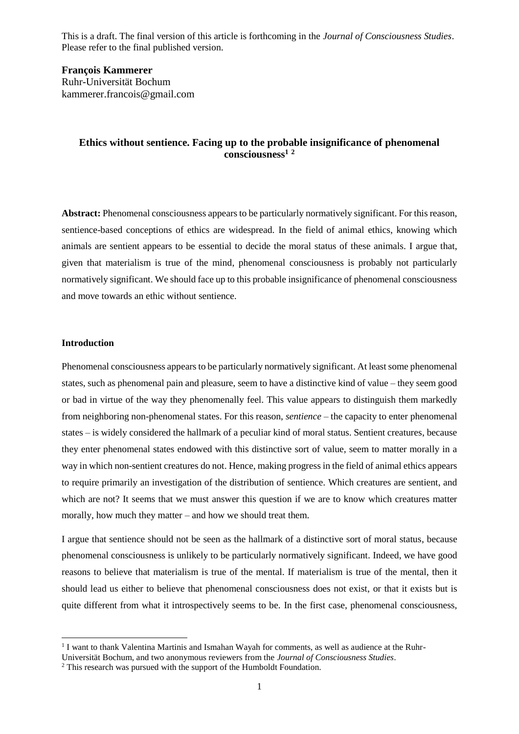**François Kammerer** Ruhr-Universität Bochum kammerer.francois@gmail.com

# **Ethics without sentience. Facing up to the probable insignificance of phenomenal consciousness<sup>1</sup> <sup>2</sup>**

**Abstract:** Phenomenal consciousness appears to be particularly normatively significant. For this reason, sentience-based conceptions of ethics are widespread. In the field of animal ethics, knowing which animals are sentient appears to be essential to decide the moral status of these animals. I argue that, given that materialism is true of the mind, phenomenal consciousness is probably not particularly normatively significant. We should face up to this probable insignificance of phenomenal consciousness and move towards an ethic without sentience.

### **Introduction**

1

Phenomenal consciousness appears to be particularly normatively significant. At least some phenomenal states, such as phenomenal pain and pleasure, seem to have a distinctive kind of value – they seem good or bad in virtue of the way they phenomenally feel. This value appears to distinguish them markedly from neighboring non-phenomenal states. For this reason, *sentience* – the capacity to enter phenomenal states – is widely considered the hallmark of a peculiar kind of moral status. Sentient creatures, because they enter phenomenal states endowed with this distinctive sort of value, seem to matter morally in a way in which non-sentient creatures do not. Hence, making progress in the field of animal ethics appears to require primarily an investigation of the distribution of sentience. Which creatures are sentient, and which are not? It seems that we must answer this question if we are to know which creatures matter morally, how much they matter – and how we should treat them.

I argue that sentience should not be seen as the hallmark of a distinctive sort of moral status, because phenomenal consciousness is unlikely to be particularly normatively significant. Indeed, we have good reasons to believe that materialism is true of the mental. If materialism is true of the mental, then it should lead us either to believe that phenomenal consciousness does not exist, or that it exists but is quite different from what it introspectively seems to be. In the first case, phenomenal consciousness,

<sup>&</sup>lt;sup>1</sup> I want to thank Valentina Martinis and Ismahan Wayah for comments, as well as audience at the Ruhr-

Universität Bochum, and two anonymous reviewers from the *Journal of Consciousness Studies*.

<sup>&</sup>lt;sup>2</sup> This research was pursued with the support of the Humboldt Foundation.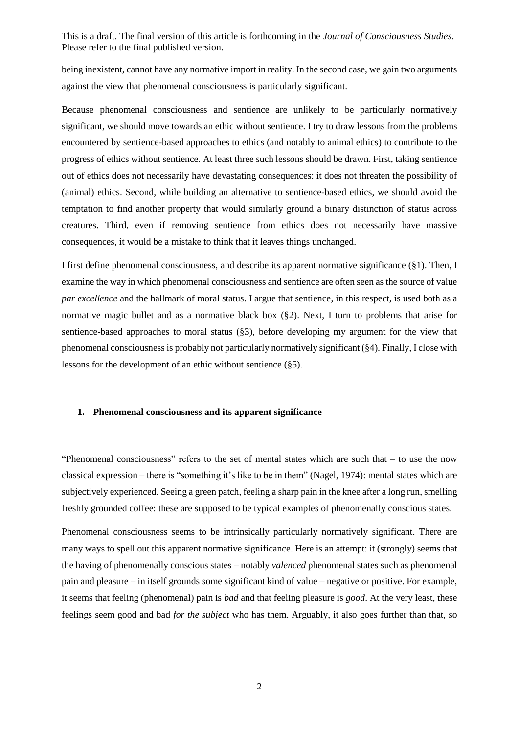being inexistent, cannot have any normative import in reality. In the second case, we gain two arguments against the view that phenomenal consciousness is particularly significant.

Because phenomenal consciousness and sentience are unlikely to be particularly normatively significant, we should move towards an ethic without sentience. I try to draw lessons from the problems encountered by sentience-based approaches to ethics (and notably to animal ethics) to contribute to the progress of ethics without sentience. At least three such lessons should be drawn. First, taking sentience out of ethics does not necessarily have devastating consequences: it does not threaten the possibility of (animal) ethics. Second, while building an alternative to sentience-based ethics, we should avoid the temptation to find another property that would similarly ground a binary distinction of status across creatures. Third, even if removing sentience from ethics does not necessarily have massive consequences, it would be a mistake to think that it leaves things unchanged.

I first define phenomenal consciousness, and describe its apparent normative significance (§1). Then, I examine the way in which phenomenal consciousness and sentience are often seen as the source of value *par excellence* and the hallmark of moral status. I argue that sentience, in this respect, is used both as a normative magic bullet and as a normative black box (§2). Next, I turn to problems that arise for sentience-based approaches to moral status (§3), before developing my argument for the view that phenomenal consciousness is probably not particularly normatively significant (§4). Finally, I close with lessons for the development of an ethic without sentience (§5).

### **1. Phenomenal consciousness and its apparent significance**

"Phenomenal consciousness" refers to the set of mental states which are such that – to use the now classical expression – there is "something it's like to be in them" (Nagel, 1974): mental states which are subjectively experienced. Seeing a green patch, feeling a sharp pain in the knee after a long run, smelling freshly grounded coffee: these are supposed to be typical examples of phenomenally conscious states.

Phenomenal consciousness seems to be intrinsically particularly normatively significant. There are many ways to spell out this apparent normative significance. Here is an attempt: it (strongly) seems that the having of phenomenally conscious states – notably *valenced* phenomenal states such as phenomenal pain and pleasure – in itself grounds some significant kind of value – negative or positive. For example, it seems that feeling (phenomenal) pain is *bad* and that feeling pleasure is *good*. At the very least, these feelings seem good and bad *for the subject* who has them. Arguably, it also goes further than that, so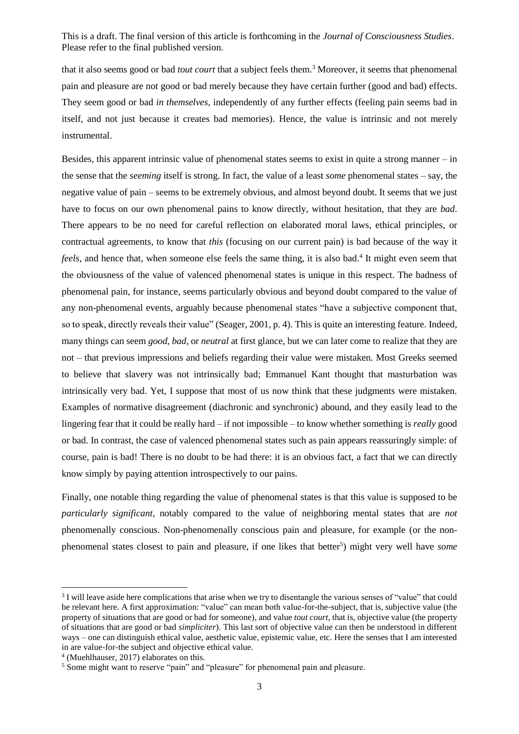that it also seems good or bad *tout court* that a subject feels them. <sup>3</sup> Moreover, it seems that phenomenal pain and pleasure are not good or bad merely because they have certain further (good and bad) effects. They seem good or bad *in themselves*, independently of any further effects (feeling pain seems bad in itself, and not just because it creates bad memories). Hence, the value is intrinsic and not merely instrumental.

Besides, this apparent intrinsic value of phenomenal states seems to exist in quite a strong manner  $-\text{in}$ the sense that the *seeming* itself is strong. In fact, the value of a least *some* phenomenal states – say, the negative value of pain – seems to be extremely obvious, and almost beyond doubt. It seems that we just have to focus on our own phenomenal pains to know directly, without hesitation, that they are *bad*. There appears to be no need for careful reflection on elaborated moral laws, ethical principles, or contractual agreements, to know that *this* (focusing on our current pain) is bad because of the way it feels, and hence that, when someone else feels the same thing, it is also bad.<sup>4</sup> It might even seem that the obviousness of the value of valenced phenomenal states is unique in this respect. The badness of phenomenal pain, for instance, seems particularly obvious and beyond doubt compared to the value of any non-phenomenal events, arguably because phenomenal states "have a subjective component that, so to speak, directly reveals their value" (Seager, 2001, p. 4). This is quite an interesting feature. Indeed, many things can seem *good*, *bad,* or *neutral* at first glance, but we can later come to realize that they are not – that previous impressions and beliefs regarding their value were mistaken. Most Greeks seemed to believe that slavery was not intrinsically bad; Emmanuel Kant thought that masturbation was intrinsically very bad. Yet, I suppose that most of us now think that these judgments were mistaken. Examples of normative disagreement (diachronic and synchronic) abound, and they easily lead to the lingering fear that it could be really hard – if not impossible – to know whether something is *really* good or bad. In contrast, the case of valenced phenomenal states such as pain appears reassuringly simple: of course, pain is bad! There is no doubt to be had there: it is an obvious fact, a fact that we can directly know simply by paying attention introspectively to our pains.

Finally, one notable thing regarding the value of phenomenal states is that this value is supposed to be *particularly significant*, notably compared to the value of neighboring mental states that are *not* phenomenally conscious. Non-phenomenally conscious pain and pleasure, for example (or the nonphenomenal states closest to pain and pleasure, if one likes that better<sup>5</sup>) might very well have *some* 

-

<sup>&</sup>lt;sup>3</sup> I will leave aside here complications that arise when we try to disentangle the various senses of "value" that could be relevant here. A first approximation: "value" can mean both value-for-the-subject, that is, subjective value (the property of situations that are good or bad for someone), and value *tout court*, that is, objective value (the property of situations that are good or bad *simpliciter*). This last sort of objective value can then be understood in different ways – one can distinguish ethical value, aesthetic value, epistemic value, etc. Here the senses that I am interested in are value-for-the subject and objective ethical value.

<sup>4</sup> (Muehlhauser, 2017) elaborates on this.

<sup>&</sup>lt;sup>5</sup> Some might want to reserve "pain" and "pleasure" for phenomenal pain and pleasure.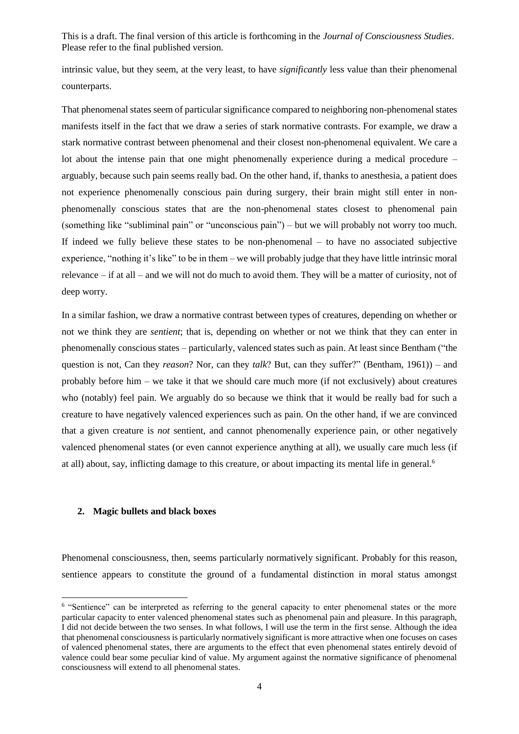intrinsic value, but they seem, at the very least, to have *significantly* less value than their phenomenal counterparts.

That phenomenal states seem of particular significance compared to neighboring non-phenomenal states manifests itself in the fact that we draw a series of stark normative contrasts. For example, we draw a stark normative contrast between phenomenal and their closest non-phenomenal equivalent. We care a lot about the intense pain that one might phenomenally experience during a medical procedure – arguably, because such pain seems really bad. On the other hand, if, thanks to anesthesia, a patient does not experience phenomenally conscious pain during surgery, their brain might still enter in nonphenomenally conscious states that are the non-phenomenal states closest to phenomenal pain (something like "subliminal pain" or "unconscious pain") – but we will probably not worry too much. If indeed we fully believe these states to be non-phenomenal – to have no associated subjective experience, "nothing it's like" to be in them – we will probably judge that they have little intrinsic moral relevance – if at all – and we will not do much to avoid them. They will be a matter of curiosity, not of deep worry.

In a similar fashion, we draw a normative contrast between types of creatures, depending on whether or not we think they are *sentient*; that is, depending on whether or not we think that they can enter in phenomenally conscious states – particularly, valenced states such as pain. At least since Bentham ("the question is not, Can they *reason*? Nor, can they *talk*? But, can they suffer?" (Bentham, 1961)) – and probably before him – we take it that we should care much more (if not exclusively) about creatures who (notably) feel pain. We arguably do so because we think that it would be really bad for such a creature to have negatively valenced experiences such as pain. On the other hand, if we are convinced that a given creature is *not* sentient, and cannot phenomenally experience pain, or other negatively valenced phenomenal states (or even cannot experience anything at all), we usually care much less (if at all) about, say, inflicting damage to this creature, or about impacting its mental life in general.<sup>6</sup>

# **2. Magic bullets and black boxes**

Phenomenal consciousness, then, seems particularly normatively significant. Probably for this reason, sentience appears to constitute the ground of a fundamental distinction in moral status amongst

<sup>&</sup>lt;sup>6</sup> "Sentience" can be interpreted as referring to the general capacity to enter phenomenal states or the more particular capacity to enter valenced phenomenal states such as phenomenal pain and pleasure. In this paragraph, I did not decide between the two senses. In what follows, I will use the term in the first sense. Although the idea that phenomenal consciousness is particularly normatively significant is more attractive when one focuses on cases of valenced phenomenal states, there are arguments to the effect that even phenomenal states entirely devoid of valence could bear some peculiar kind of value. My argument against the normative significance of phenomenal consciousness will extend to all phenomenal states.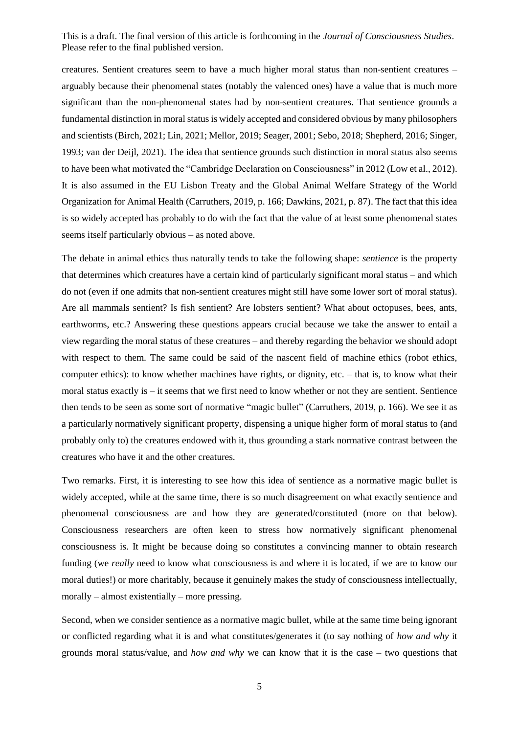creatures. Sentient creatures seem to have a much higher moral status than non-sentient creatures – arguably because their phenomenal states (notably the valenced ones) have a value that is much more significant than the non-phenomenal states had by non-sentient creatures. That sentience grounds a fundamental distinction in moral status is widely accepted and considered obvious by many philosophers and scientists (Birch, 2021; Lin, 2021; Mellor, 2019; Seager, 2001; Sebo, 2018; Shepherd, 2016; Singer, 1993; van der Deijl, 2021). The idea that sentience grounds such distinction in moral status also seems to have been what motivated the "Cambridge Declaration on Consciousness" in 2012 (Low et al., 2012). It is also assumed in the EU Lisbon Treaty and the Global Animal Welfare Strategy of the World Organization for Animal Health (Carruthers, 2019, p. 166; Dawkins, 2021, p. 87). The fact that this idea is so widely accepted has probably to do with the fact that the value of at least some phenomenal states seems itself particularly obvious – as noted above.

The debate in animal ethics thus naturally tends to take the following shape: *sentience* is the property that determines which creatures have a certain kind of particularly significant moral status – and which do not (even if one admits that non-sentient creatures might still have some lower sort of moral status). Are all mammals sentient? Is fish sentient? Are lobsters sentient? What about octopuses, bees, ants, earthworms, etc.? Answering these questions appears crucial because we take the answer to entail a view regarding the moral status of these creatures – and thereby regarding the behavior we should adopt with respect to them. The same could be said of the nascent field of machine ethics (robot ethics, computer ethics): to know whether machines have rights, or dignity, etc. – that is, to know what their moral status exactly is  $-$  it seems that we first need to know whether or not they are sentient. Sentience then tends to be seen as some sort of normative "magic bullet" (Carruthers, 2019, p. 166). We see it as a particularly normatively significant property, dispensing a unique higher form of moral status to (and probably only to) the creatures endowed with it, thus grounding a stark normative contrast between the creatures who have it and the other creatures.

Two remarks. First, it is interesting to see how this idea of sentience as a normative magic bullet is widely accepted, while at the same time, there is so much disagreement on what exactly sentience and phenomenal consciousness are and how they are generated/constituted (more on that below). Consciousness researchers are often keen to stress how normatively significant phenomenal consciousness is. It might be because doing so constitutes a convincing manner to obtain research funding (we *really* need to know what consciousness is and where it is located, if we are to know our moral duties!) or more charitably, because it genuinely makes the study of consciousness intellectually, morally – almost existentially – more pressing.

Second, when we consider sentience as a normative magic bullet, while at the same time being ignorant or conflicted regarding what it is and what constitutes/generates it (to say nothing of *how and why* it grounds moral status/value, and *how and why* we can know that it is the case – two questions that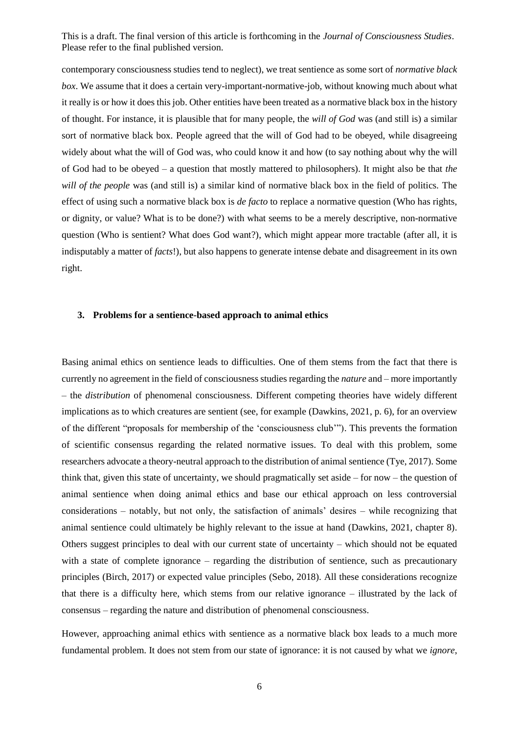contemporary consciousness studies tend to neglect), we treat sentience as some sort of *normative black box*. We assume that it does a certain very-important-normative-job, without knowing much about what it really is or how it does this job. Other entities have been treated as a normative black box in the history of thought. For instance, it is plausible that for many people, the *will of God* was (and still is) a similar sort of normative black box. People agreed that the will of God had to be obeyed, while disagreeing widely about what the will of God was, who could know it and how (to say nothing about why the will of God had to be obeyed – a question that mostly mattered to philosophers). It might also be that *the will of the people* was (and still is) a similar kind of normative black box in the field of politics. The effect of using such a normative black box is *de facto* to replace a normative question (Who has rights, or dignity, or value? What is to be done?) with what seems to be a merely descriptive, non-normative question (Who is sentient? What does God want?), which might appear more tractable (after all, it is indisputably a matter of *facts*!), but also happens to generate intense debate and disagreement in its own right.

#### **3. Problems for a sentience-based approach to animal ethics**

Basing animal ethics on sentience leads to difficulties. One of them stems from the fact that there is currently no agreement in the field of consciousness studies regarding the *nature* and – more importantly – the *distribution* of phenomenal consciousness. Different competing theories have widely different implications as to which creatures are sentient (see, for example (Dawkins, 2021, p. 6), for an overview of the different "proposals for membership of the 'consciousness club'"). This prevents the formation of scientific consensus regarding the related normative issues. To deal with this problem, some researchers advocate a theory-neutral approach to the distribution of animal sentience (Tye, 2017). Some think that, given this state of uncertainty, we should pragmatically set aside – for now – the question of animal sentience when doing animal ethics and base our ethical approach on less controversial considerations – notably, but not only, the satisfaction of animals' desires – while recognizing that animal sentience could ultimately be highly relevant to the issue at hand (Dawkins, 2021, chapter 8). Others suggest principles to deal with our current state of uncertainty – which should not be equated with a state of complete ignorance – regarding the distribution of sentience, such as precautionary principles (Birch, 2017) or expected value principles (Sebo, 2018). All these considerations recognize that there is a difficulty here, which stems from our relative ignorance – illustrated by the lack of consensus – regarding the nature and distribution of phenomenal consciousness.

However, approaching animal ethics with sentience as a normative black box leads to a much more fundamental problem. It does not stem from our state of ignorance: it is not caused by what we *ignore*,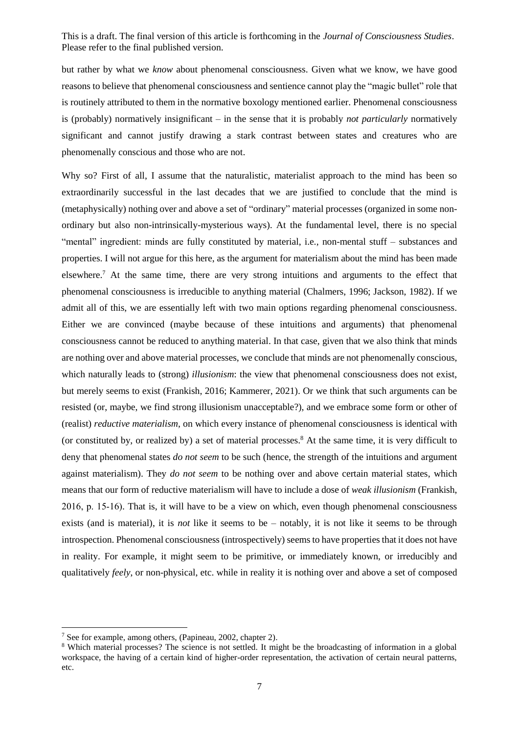but rather by what we *know* about phenomenal consciousness. Given what we know, we have good reasons to believe that phenomenal consciousness and sentience cannot play the "magic bullet" role that is routinely attributed to them in the normative boxology mentioned earlier. Phenomenal consciousness is (probably) normatively insignificant – in the sense that it is probably *not particularly* normatively significant and cannot justify drawing a stark contrast between states and creatures who are phenomenally conscious and those who are not.

Why so? First of all, I assume that the naturalistic, materialist approach to the mind has been so extraordinarily successful in the last decades that we are justified to conclude that the mind is (metaphysically) nothing over and above a set of "ordinary" material processes (organized in some nonordinary but also non-intrinsically-mysterious ways). At the fundamental level, there is no special "mental" ingredient: minds are fully constituted by material, i.e., non-mental stuff – substances and properties. I will not argue for this here, as the argument for materialism about the mind has been made elsewhere.<sup>7</sup> At the same time, there are very strong intuitions and arguments to the effect that phenomenal consciousness is irreducible to anything material (Chalmers, 1996; Jackson, 1982). If we admit all of this, we are essentially left with two main options regarding phenomenal consciousness. Either we are convinced (maybe because of these intuitions and arguments) that phenomenal consciousness cannot be reduced to anything material. In that case, given that we also think that minds are nothing over and above material processes, we conclude that minds are not phenomenally conscious, which naturally leads to (strong) *illusionism*: the view that phenomenal consciousness does not exist, but merely seems to exist (Frankish, 2016; Kammerer, 2021). Or we think that such arguments can be resisted (or, maybe, we find strong illusionism unacceptable?), and we embrace some form or other of (realist) *reductive materialism*, on which every instance of phenomenal consciousness is identical with (or constituted by, or realized by) a set of material processes.<sup>8</sup> At the same time, it is very difficult to deny that phenomenal states *do not seem* to be such (hence, the strength of the intuitions and argument against materialism). They *do not seem* to be nothing over and above certain material states, which means that our form of reductive materialism will have to include a dose of *weak illusionism* (Frankish, 2016, p. 15‑16). That is, it will have to be a view on which, even though phenomenal consciousness exists (and is material), it is *not* like it seems to be – notably, it is not like it seems to be through introspection. Phenomenal consciousness (introspectively) seems to have properties that it does not have in reality. For example, it might seem to be primitive, or immediately known, or irreducibly and qualitatively *feely*, or non-physical, etc. while in reality it is nothing over and above a set of composed

-

<sup>7</sup> See for example, among others, (Papineau, 2002, chapter 2).

<sup>8</sup> Which material processes? The science is not settled. It might be the broadcasting of information in a global workspace, the having of a certain kind of higher-order representation, the activation of certain neural patterns, etc.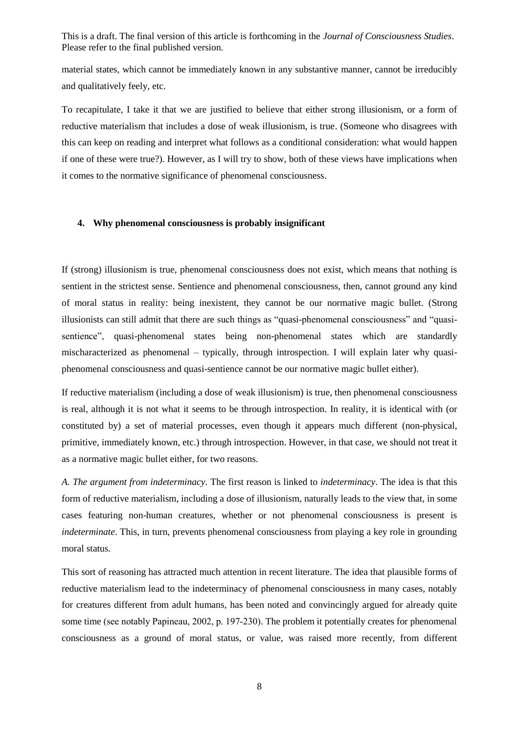material states, which cannot be immediately known in any substantive manner, cannot be irreducibly and qualitatively feely, etc.

To recapitulate, I take it that we are justified to believe that either strong illusionism, or a form of reductive materialism that includes a dose of weak illusionism, is true. (Someone who disagrees with this can keep on reading and interpret what follows as a conditional consideration: what would happen if one of these were true?). However, as I will try to show, both of these views have implications when it comes to the normative significance of phenomenal consciousness.

### **4. Why phenomenal consciousness is probably insignificant**

If (strong) illusionism is true, phenomenal consciousness does not exist, which means that nothing is sentient in the strictest sense. Sentience and phenomenal consciousness, then, cannot ground any kind of moral status in reality: being inexistent, they cannot be our normative magic bullet. (Strong illusionists can still admit that there are such things as "quasi-phenomenal consciousness" and "quasisentience", quasi-phenomenal states being non-phenomenal states which are standardly mischaracterized as phenomenal – typically, through introspection. I will explain later why quasiphenomenal consciousness and quasi-sentience cannot be our normative magic bullet either).

If reductive materialism (including a dose of weak illusionism) is true, then phenomenal consciousness is real, although it is not what it seems to be through introspection. In reality, it is identical with (or constituted by) a set of material processes, even though it appears much different (non-physical, primitive, immediately known, etc.) through introspection. However, in that case, we should not treat it as a normative magic bullet either, for two reasons.

*A. The argument from indeterminacy.* The first reason is linked to *indeterminacy*. The idea is that this form of reductive materialism, including a dose of illusionism, naturally leads to the view that, in some cases featuring non-human creatures, whether or not phenomenal consciousness is present is *indeterminate*. This, in turn, prevents phenomenal consciousness from playing a key role in grounding moral status.

This sort of reasoning has attracted much attention in recent literature. The idea that plausible forms of reductive materialism lead to the indeterminacy of phenomenal consciousness in many cases, notably for creatures different from adult humans, has been noted and convincingly argued for already quite some time (see notably Papineau, 2002, p. 197–230). The problem it potentially creates for phenomenal consciousness as a ground of moral status, or value, was raised more recently, from different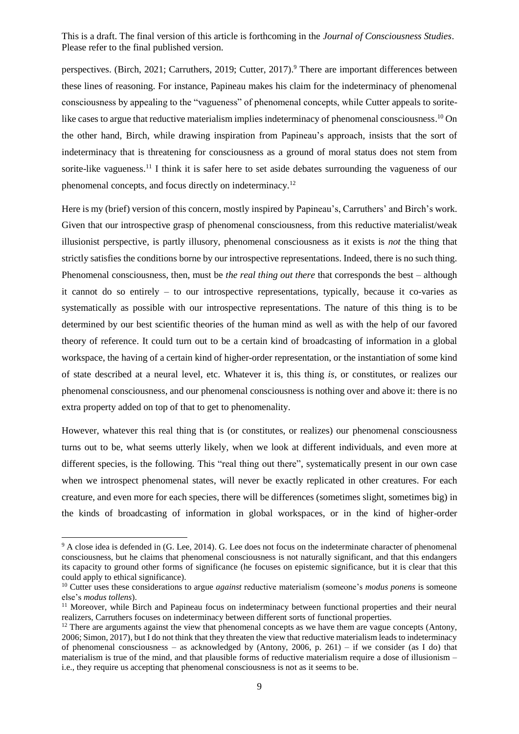perspectives. (Birch, 2021; Carruthers, 2019; Cutter, 2017). <sup>9</sup> There are important differences between these lines of reasoning. For instance, Papineau makes his claim for the indeterminacy of phenomenal consciousness by appealing to the "vagueness" of phenomenal concepts, while Cutter appeals to soritelike cases to argue that reductive materialism implies indeterminacy of phenomenal consciousness.<sup>10</sup> On the other hand, Birch, while drawing inspiration from Papineau's approach, insists that the sort of indeterminacy that is threatening for consciousness as a ground of moral status does not stem from sorite-like vagueness.<sup>11</sup> I think it is safer here to set aside debates surrounding the vagueness of our phenomenal concepts, and focus directly on indeterminacy.<sup>12</sup>

Here is my (brief) version of this concern, mostly inspired by Papineau's, Carruthers' and Birch's work. Given that our introspective grasp of phenomenal consciousness, from this reductive materialist/weak illusionist perspective, is partly illusory, phenomenal consciousness as it exists is *not* the thing that strictly satisfies the conditions borne by our introspective representations. Indeed, there is no such thing. Phenomenal consciousness, then, must be *the real thing out there* that corresponds the best – although it cannot do so entirely – to our introspective representations, typically, because it co-varies as systematically as possible with our introspective representations. The nature of this thing is to be determined by our best scientific theories of the human mind as well as with the help of our favored theory of reference. It could turn out to be a certain kind of broadcasting of information in a global workspace, the having of a certain kind of higher-order representation, or the instantiation of some kind of state described at a neural level, etc. Whatever it is, this thing *is*, or constitutes, or realizes our phenomenal consciousness, and our phenomenal consciousness is nothing over and above it: there is no extra property added on top of that to get to phenomenality.

However, whatever this real thing that is (or constitutes, or realizes) our phenomenal consciousness turns out to be, what seems utterly likely, when we look at different individuals, and even more at different species, is the following. This "real thing out there", systematically present in our own case when we introspect phenomenal states, will never be exactly replicated in other creatures. For each creature, and even more for each species, there will be differences (sometimes slight, sometimes big) in the kinds of broadcasting of information in global workspaces, or in the kind of higher-order

<sup>&</sup>lt;sup>9</sup> A close idea is defended in (G. Lee, 2014). G. Lee does not focus on the indeterminate character of phenomenal consciousness, but he claims that phenomenal consciousness is not naturally significant, and that this endangers its capacity to ground other forms of significance (he focuses on epistemic significance, but it is clear that this could apply to ethical significance).

<sup>10</sup> Cutter uses these considerations to argue *against* reductive materialism (someone's *modus ponens* is someone else's *modus tollens*).

<sup>&</sup>lt;sup>11</sup> Moreover, while Birch and Papineau focus on indeterminacy between functional properties and their neural realizers, Carruthers focuses on indeterminacy between different sorts of functional properties.

 $12$  There are arguments against the view that phenomenal concepts as we have them are vague concepts (Antony, 2006; Simon, 2017), but I do not think that they threaten the view that reductive materialism leads to indeterminacy of phenomenal consciousness – as acknowledged by (Antony, 2006, p. 261) – if we consider (as I do) that materialism is true of the mind, and that plausible forms of reductive materialism require a dose of illusionism – i.e., they require us accepting that phenomenal consciousness is not as it seems to be.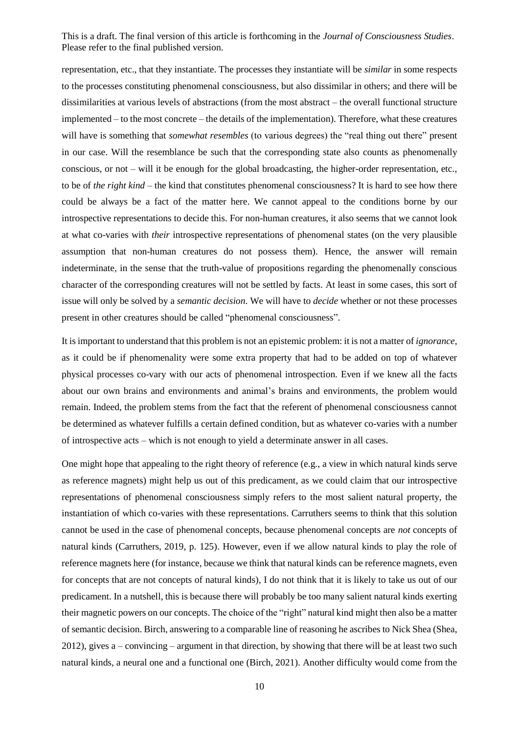representation, etc., that they instantiate. The processes they instantiate will be *similar* in some respects to the processes constituting phenomenal consciousness, but also dissimilar in others; and there will be dissimilarities at various levels of abstractions (from the most abstract – the overall functional structure implemented – to the most concrete – the details of the implementation). Therefore, what these creatures will have is something that *somewhat resembles* (to various degrees) the "real thing out there" present in our case. Will the resemblance be such that the corresponding state also counts as phenomenally conscious, or not – will it be enough for the global broadcasting, the higher-order representation, etc., to be of *the right kind* – the kind that constitutes phenomenal consciousness? It is hard to see how there could be always be a fact of the matter here. We cannot appeal to the conditions borne by our introspective representations to decide this. For non-human creatures, it also seems that we cannot look at what co-varies with *their* introspective representations of phenomenal states (on the very plausible assumption that non-human creatures do not possess them). Hence, the answer will remain indeterminate, in the sense that the truth-value of propositions regarding the phenomenally conscious character of the corresponding creatures will not be settled by facts. At least in some cases, this sort of issue will only be solved by a *semantic decision*. We will have to *decide* whether or not these processes present in other creatures should be called "phenomenal consciousness".

It is important to understand that this problem is not an epistemic problem: it is not a matter of *ignorance*, as it could be if phenomenality were some extra property that had to be added on top of whatever physical processes co-vary with our acts of phenomenal introspection. Even if we knew all the facts about our own brains and environments and animal's brains and environments, the problem would remain. Indeed, the problem stems from the fact that the referent of phenomenal consciousness cannot be determined as whatever fulfills a certain defined condition, but as whatever co-varies with a number of introspective acts – which is not enough to yield a determinate answer in all cases.

One might hope that appealing to the right theory of reference (e.g., a view in which natural kinds serve as reference magnets) might help us out of this predicament, as we could claim that our introspective representations of phenomenal consciousness simply refers to the most salient natural property, the instantiation of which co-varies with these representations. Carruthers seems to think that this solution cannot be used in the case of phenomenal concepts, because phenomenal concepts are *not* concepts of natural kinds (Carruthers, 2019, p. 125). However, even if we allow natural kinds to play the role of reference magnets here (for instance, because we think that natural kinds can be reference magnets, even for concepts that are not concepts of natural kinds), I do not think that it is likely to take us out of our predicament. In a nutshell, this is because there will probably be too many salient natural kinds exerting their magnetic powers on our concepts. The choice of the "right" natural kind might then also be a matter of semantic decision. Birch, answering to a comparable line of reasoning he ascribes to Nick Shea (Shea, 2012), gives a – convincing – argument in that direction, by showing that there will be at least two such natural kinds, a neural one and a functional one (Birch, 2021). Another difficulty would come from the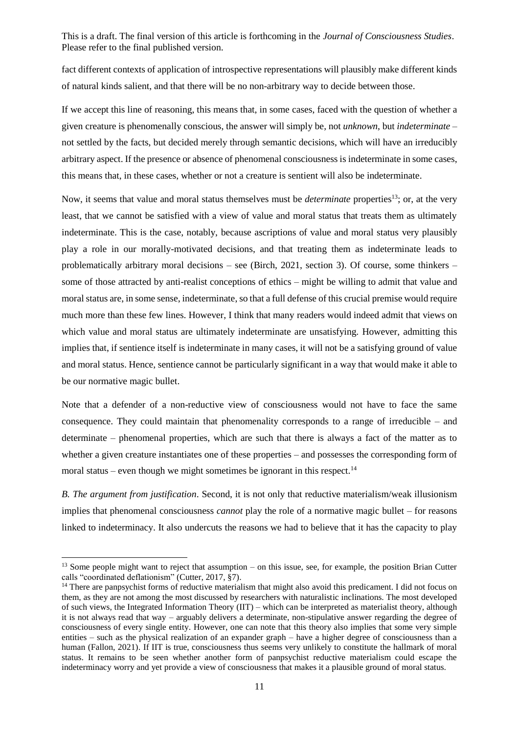fact different contexts of application of introspective representations will plausibly make different kinds of natural kinds salient, and that there will be no non-arbitrary way to decide between those.

If we accept this line of reasoning, this means that, in some cases, faced with the question of whether a given creature is phenomenally conscious, the answer will simply be, not *unknown*, but *indeterminate* – not settled by the facts, but decided merely through semantic decisions, which will have an irreducibly arbitrary aspect. If the presence or absence of phenomenal consciousness is indeterminate in some cases, this means that, in these cases, whether or not a creature is sentient will also be indeterminate.

Now, it seems that value and moral status themselves must be *determinate* properties<sup>13</sup>; or, at the very least, that we cannot be satisfied with a view of value and moral status that treats them as ultimately indeterminate. This is the case, notably, because ascriptions of value and moral status very plausibly play a role in our morally-motivated decisions, and that treating them as indeterminate leads to problematically arbitrary moral decisions – see (Birch, 2021, section 3). Of course, some thinkers – some of those attracted by anti-realist conceptions of ethics – might be willing to admit that value and moral status are, in some sense, indeterminate, so that a full defense of this crucial premise would require much more than these few lines. However, I think that many readers would indeed admit that views on which value and moral status are ultimately indeterminate are unsatisfying. However, admitting this implies that, if sentience itself is indeterminate in many cases, it will not be a satisfying ground of value and moral status. Hence, sentience cannot be particularly significant in a way that would make it able to be our normative magic bullet.

Note that a defender of a non-reductive view of consciousness would not have to face the same consequence. They could maintain that phenomenality corresponds to a range of irreducible – and determinate – phenomenal properties, which are such that there is always a fact of the matter as to whether a given creature instantiates one of these properties – and possesses the corresponding form of moral status – even though we might sometimes be ignorant in this respect.<sup>14</sup>

*B. The argument from justification*. Second, it is not only that reductive materialism/weak illusionism implies that phenomenal consciousness *cannot* play the role of a normative magic bullet – for reasons linked to indeterminacy. It also undercuts the reasons we had to believe that it has the capacity to play

-

<sup>&</sup>lt;sup>13</sup> Some people might want to reject that assumption – on this issue, see, for example, the position Brian Cutter calls "coordinated deflationism" (Cutter, 2017, §7).

<sup>&</sup>lt;sup>14</sup> There are panpsychist forms of reductive materialism that might also avoid this predicament. I did not focus on them, as they are not among the most discussed by researchers with naturalistic inclinations. The most developed of such views, the Integrated Information Theory (IIT) – which can be interpreted as materialist theory, although it is not always read that way – arguably delivers a determinate, non-stipulative answer regarding the degree of consciousness of every single entity. However, one can note that this theory also implies that some very simple entities – such as the physical realization of an expander graph – have a higher degree of consciousness than a human (Fallon, 2021). If IIT is true, consciousness thus seems very unlikely to constitute the hallmark of moral status. It remains to be seen whether another form of panpsychist reductive materialism could escape the indeterminacy worry and yet provide a view of consciousness that makes it a plausible ground of moral status.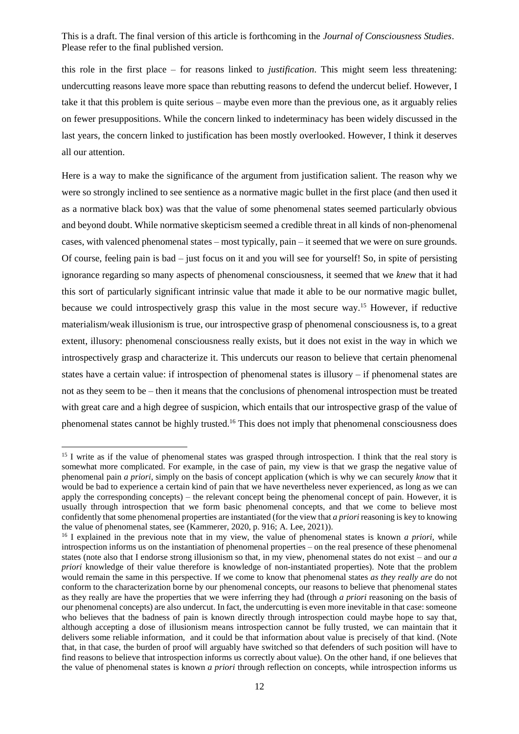this role in the first place – for reasons linked to *justification*. This might seem less threatening: undercutting reasons leave more space than rebutting reasons to defend the undercut belief. However, I take it that this problem is quite serious – maybe even more than the previous one, as it arguably relies on fewer presuppositions. While the concern linked to indeterminacy has been widely discussed in the last years, the concern linked to justification has been mostly overlooked. However, I think it deserves all our attention.

Here is a way to make the significance of the argument from justification salient. The reason why we were so strongly inclined to see sentience as a normative magic bullet in the first place (and then used it as a normative black box) was that the value of some phenomenal states seemed particularly obvious and beyond doubt. While normative skepticism seemed a credible threat in all kinds of non-phenomenal cases, with valenced phenomenal states – most typically, pain – it seemed that we were on sure grounds. Of course, feeling pain is bad – just focus on it and you will see for yourself! So, in spite of persisting ignorance regarding so many aspects of phenomenal consciousness, it seemed that we *knew* that it had this sort of particularly significant intrinsic value that made it able to be our normative magic bullet, because we could introspectively grasp this value in the most secure way.<sup>15</sup> However, if reductive materialism/weak illusionism is true, our introspective grasp of phenomenal consciousness is, to a great extent, illusory: phenomenal consciousness really exists, but it does not exist in the way in which we introspectively grasp and characterize it. This undercuts our reason to believe that certain phenomenal states have a certain value: if introspection of phenomenal states is illusory – if phenomenal states are not as they seem to be – then it means that the conclusions of phenomenal introspection must be treated with great care and a high degree of suspicion, which entails that our introspective grasp of the value of phenomenal states cannot be highly trusted.<sup>16</sup> This does not imply that phenomenal consciousness does

<sup>&</sup>lt;sup>15</sup> I write as if the value of phenomenal states was grasped through introspection. I think that the real story is somewhat more complicated. For example, in the case of pain, my view is that we grasp the negative value of phenomenal pain *a priori*, simply on the basis of concept application (which is why we can securely *know* that it would be bad to experience a certain kind of pain that we have nevertheless never experienced, as long as we can apply the corresponding concepts) – the relevant concept being the phenomenal concept of pain. However, it is usually through introspection that we form basic phenomenal concepts, and that we come to believe most confidently that some phenomenal properties are instantiated (for the view that *a priori* reasoning is key to knowing the value of phenomenal states, see (Kammerer, 2020, p. 916; A. Lee, 2021)).

<sup>16</sup> I explained in the previous note that in my view, the value of phenomenal states is known *a priori*, while introspection informs us on the instantiation of phenomenal properties – on the real presence of these phenomenal states (note also that I endorse strong illusionism so that, in my view, phenomenal states do not exist – and our *a priori* knowledge of their value therefore is knowledge of non-instantiated properties). Note that the problem would remain the same in this perspective. If we come to know that phenomenal states *as they really are* do not conform to the characterization borne by our phenomenal concepts, our reasons to believe that phenomenal states as they really are have the properties that we were inferring they had (through *a priori* reasoning on the basis of our phenomenal concepts) are also undercut. In fact, the undercutting is even more inevitable in that case: someone who believes that the badness of pain is known directly through introspection could maybe hope to say that, although accepting a dose of illusionism means introspection cannot be fully trusted, we can maintain that it delivers some reliable information, and it could be that information about value is precisely of that kind. (Note that, in that case, the burden of proof will arguably have switched so that defenders of such position will have to find reasons to believe that introspection informs us correctly about value). On the other hand, if one believes that the value of phenomenal states is known *a priori* through reflection on concepts, while introspection informs us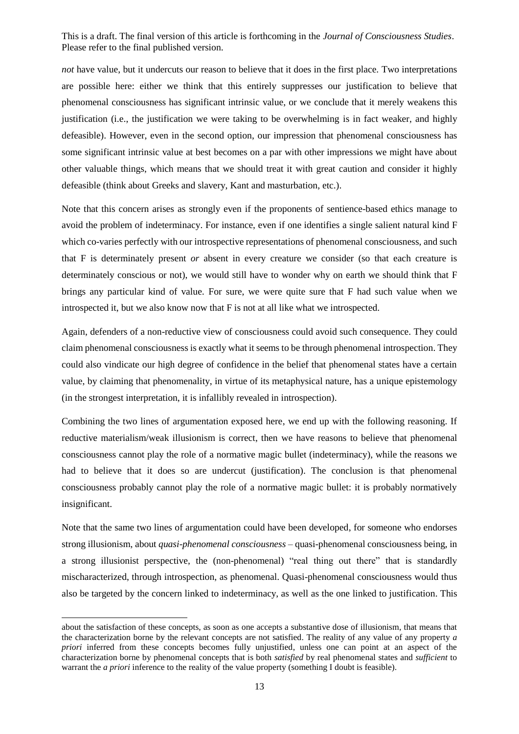*not* have value, but it undercuts our reason to believe that it does in the first place. Two interpretations are possible here: either we think that this entirely suppresses our justification to believe that phenomenal consciousness has significant intrinsic value, or we conclude that it merely weakens this justification (i.e., the justification we were taking to be overwhelming is in fact weaker, and highly defeasible). However, even in the second option, our impression that phenomenal consciousness has some significant intrinsic value at best becomes on a par with other impressions we might have about other valuable things, which means that we should treat it with great caution and consider it highly defeasible (think about Greeks and slavery, Kant and masturbation, etc.).

Note that this concern arises as strongly even if the proponents of sentience-based ethics manage to avoid the problem of indeterminacy. For instance, even if one identifies a single salient natural kind F which co-varies perfectly with our introspective representations of phenomenal consciousness, and such that F is determinately present *or* absent in every creature we consider (so that each creature is determinately conscious or not), we would still have to wonder why on earth we should think that F brings any particular kind of value*.* For sure, we were quite sure that F had such value when we introspected it, but we also know now that F is not at all like what we introspected.

Again, defenders of a non-reductive view of consciousness could avoid such consequence. They could claim phenomenal consciousness is exactly what it seems to be through phenomenal introspection. They could also vindicate our high degree of confidence in the belief that phenomenal states have a certain value, by claiming that phenomenality, in virtue of its metaphysical nature, has a unique epistemology (in the strongest interpretation, it is infallibly revealed in introspection).

Combining the two lines of argumentation exposed here, we end up with the following reasoning. If reductive materialism/weak illusionism is correct, then we have reasons to believe that phenomenal consciousness cannot play the role of a normative magic bullet (indeterminacy), while the reasons we had to believe that it does so are undercut (justification). The conclusion is that phenomenal consciousness probably cannot play the role of a normative magic bullet: it is probably normatively insignificant.

Note that the same two lines of argumentation could have been developed, for someone who endorses strong illusionism, about *quasi-phenomenal consciousness* – quasi-phenomenal consciousness being, in a strong illusionist perspective, the (non-phenomenal) "real thing out there" that is standardly mischaracterized, through introspection, as phenomenal. Quasi-phenomenal consciousness would thus also be targeted by the concern linked to indeterminacy, as well as the one linked to justification. This

about the satisfaction of these concepts, as soon as one accepts a substantive dose of illusionism, that means that the characterization borne by the relevant concepts are not satisfied. The reality of any value of any property *a priori* inferred from these concepts becomes fully unjustified, unless one can point at an aspect of the characterization borne by phenomenal concepts that is both *satisfied* by real phenomenal states and *sufficient* to warrant the *a priori* inference to the reality of the value property (something I doubt is feasible).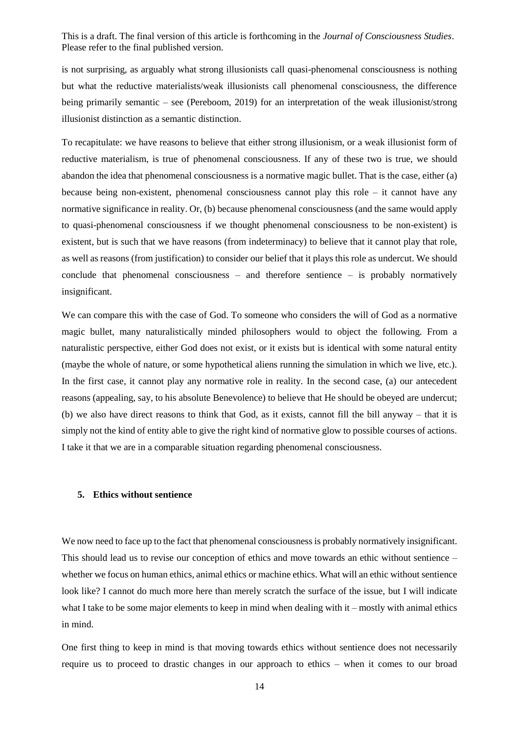is not surprising, as arguably what strong illusionists call quasi-phenomenal consciousness is nothing but what the reductive materialists/weak illusionists call phenomenal consciousness, the difference being primarily semantic – see (Pereboom, 2019) for an interpretation of the weak illusionist/strong illusionist distinction as a semantic distinction.

To recapitulate: we have reasons to believe that either strong illusionism, or a weak illusionist form of reductive materialism, is true of phenomenal consciousness. If any of these two is true, we should abandon the idea that phenomenal consciousness is a normative magic bullet. That is the case, either (a) because being non-existent, phenomenal consciousness cannot play this role – it cannot have any normative significance in reality. Or, (b) because phenomenal consciousness (and the same would apply to quasi-phenomenal consciousness if we thought phenomenal consciousness to be non-existent) is existent, but is such that we have reasons (from indeterminacy) to believe that it cannot play that role, as well as reasons (from justification) to consider our belief that it plays this role as undercut. We should conclude that phenomenal consciousness – and therefore sentience – is probably normatively insignificant.

We can compare this with the case of God. To someone who considers the will of God as a normative magic bullet, many naturalistically minded philosophers would to object the following. From a naturalistic perspective, either God does not exist, or it exists but is identical with some natural entity (maybe the whole of nature, or some hypothetical aliens running the simulation in which we live, etc.). In the first case, it cannot play any normative role in reality. In the second case, (a) our antecedent reasons (appealing, say, to his absolute Benevolence) to believe that He should be obeyed are undercut; (b) we also have direct reasons to think that God, as it exists, cannot fill the bill anyway – that it is simply not the kind of entity able to give the right kind of normative glow to possible courses of actions. I take it that we are in a comparable situation regarding phenomenal consciousness.

## **5. Ethics without sentience**

We now need to face up to the fact that phenomenal consciousness is probably normatively insignificant. This should lead us to revise our conception of ethics and move towards an ethic without sentience – whether we focus on human ethics, animal ethics or machine ethics. What will an ethic without sentience look like? I cannot do much more here than merely scratch the surface of the issue, but I will indicate what I take to be some major elements to keep in mind when dealing with it – mostly with animal ethics in mind.

One first thing to keep in mind is that moving towards ethics without sentience does not necessarily require us to proceed to drastic changes in our approach to ethics – when it comes to our broad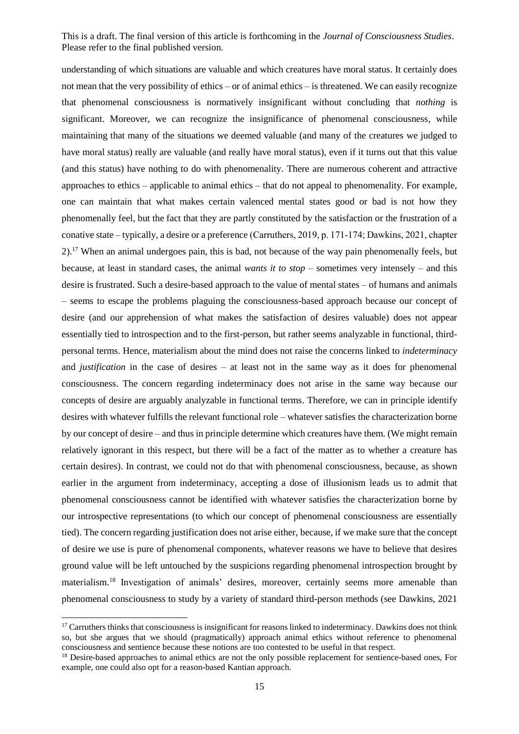understanding of which situations are valuable and which creatures have moral status. It certainly does not mean that the very possibility of ethics – or of animal ethics – is threatened. We can easily recognize that phenomenal consciousness is normatively insignificant without concluding that *nothing* is significant. Moreover, we can recognize the insignificance of phenomenal consciousness, while maintaining that many of the situations we deemed valuable (and many of the creatures we judged to have moral status) really are valuable (and really have moral status), even if it turns out that this value (and this status) have nothing to do with phenomenality. There are numerous coherent and attractive approaches to ethics – applicable to animal ethics – that do not appeal to phenomenality. For example, one can maintain that what makes certain valenced mental states good or bad is not how they phenomenally feel, but the fact that they are partly constituted by the satisfaction or the frustration of a conative state – typically, a desire or a preference (Carruthers, 2019, p. 171‑174; Dawkins, 2021, chapter 2).<sup>17</sup> When an animal undergoes pain, this is bad, not because of the way pain phenomenally feels, but because, at least in standard cases, the animal *wants it to stop* – sometimes very intensely – and this desire is frustrated. Such a desire-based approach to the value of mental states – of humans and animals – seems to escape the problems plaguing the consciousness-based approach because our concept of desire (and our apprehension of what makes the satisfaction of desires valuable) does not appear essentially tied to introspection and to the first-person, but rather seems analyzable in functional, thirdpersonal terms. Hence, materialism about the mind does not raise the concerns linked to *indeterminacy* and *justification* in the case of desires – at least not in the same way as it does for phenomenal consciousness. The concern regarding indeterminacy does not arise in the same way because our concepts of desire are arguably analyzable in functional terms. Therefore, we can in principle identify desires with whatever fulfills the relevant functional role – whatever satisfies the characterization borne by our concept of desire – and thus in principle determine which creatures have them. (We might remain relatively ignorant in this respect, but there will be a fact of the matter as to whether a creature has certain desires). In contrast, we could not do that with phenomenal consciousness, because, as shown earlier in the argument from indeterminacy, accepting a dose of illusionism leads us to admit that phenomenal consciousness cannot be identified with whatever satisfies the characterization borne by our introspective representations (to which our concept of phenomenal consciousness are essentially tied). The concern regarding justification does not arise either, because, if we make sure that the concept of desire we use is pure of phenomenal components, whatever reasons we have to believe that desires ground value will be left untouched by the suspicions regarding phenomenal introspection brought by materialism.<sup>18</sup> Investigation of animals' desires, moreover, certainly seems more amenable than phenomenal consciousness to study by a variety of standard third-person methods (see Dawkins, 2021

 $17$  Carruthers thinks that consciousness is insignificant for reasons linked to indeterminacy. Dawkins does not think so, but she argues that we should (pragmatically) approach animal ethics without reference to phenomenal consciousness and sentience because these notions are too contested to be useful in that respect.

<sup>&</sup>lt;sup>18</sup> Desire-based approaches to animal ethics are not the only possible replacement for sentience-based ones, For example, one could also opt for a reason-based Kantian approach.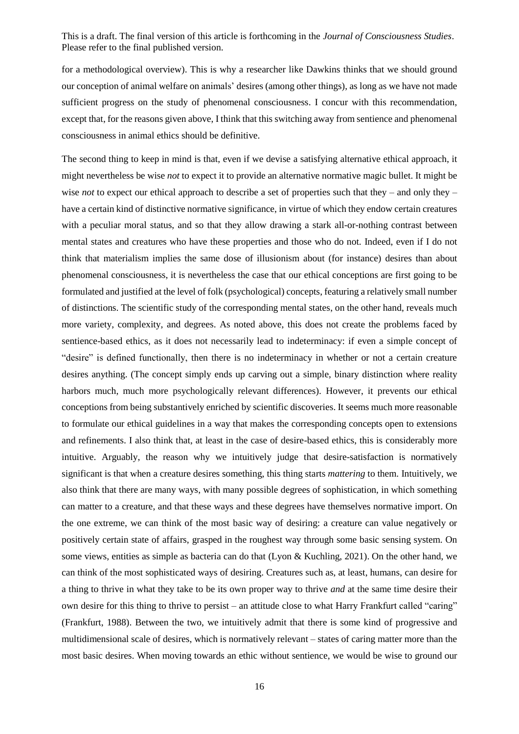for a methodological overview). This is why a researcher like Dawkins thinks that we should ground our conception of animal welfare on animals' desires (among other things), as long as we have not made sufficient progress on the study of phenomenal consciousness. I concur with this recommendation, except that, for the reasons given above, I think that this switching away from sentience and phenomenal consciousness in animal ethics should be definitive.

The second thing to keep in mind is that, even if we devise a satisfying alternative ethical approach, it might nevertheless be wise *not* to expect it to provide an alternative normative magic bullet. It might be wise *not* to expect our ethical approach to describe a set of properties such that they – and only they – have a certain kind of distinctive normative significance, in virtue of which they endow certain creatures with a peculiar moral status, and so that they allow drawing a stark all-or-nothing contrast between mental states and creatures who have these properties and those who do not. Indeed, even if I do not think that materialism implies the same dose of illusionism about (for instance) desires than about phenomenal consciousness, it is nevertheless the case that our ethical conceptions are first going to be formulated and justified at the level of folk (psychological) concepts, featuring a relatively small number of distinctions. The scientific study of the corresponding mental states, on the other hand, reveals much more variety, complexity, and degrees. As noted above, this does not create the problems faced by sentience-based ethics, as it does not necessarily lead to indeterminacy: if even a simple concept of "desire" is defined functionally, then there is no indeterminacy in whether or not a certain creature desires anything. (The concept simply ends up carving out a simple, binary distinction where reality harbors much, much more psychologically relevant differences). However, it prevents our ethical conceptions from being substantively enriched by scientific discoveries. It seems much more reasonable to formulate our ethical guidelines in a way that makes the corresponding concepts open to extensions and refinements. I also think that, at least in the case of desire-based ethics, this is considerably more intuitive. Arguably, the reason why we intuitively judge that desire-satisfaction is normatively significant is that when a creature desires something, this thing starts *mattering* to them. Intuitively, we also think that there are many ways, with many possible degrees of sophistication, in which something can matter to a creature, and that these ways and these degrees have themselves normative import. On the one extreme, we can think of the most basic way of desiring: a creature can value negatively or positively certain state of affairs, grasped in the roughest way through some basic sensing system. On some views, entities as simple as bacteria can do that (Lyon & Kuchling, 2021). On the other hand, we can think of the most sophisticated ways of desiring. Creatures such as, at least, humans, can desire for a thing to thrive in what they take to be its own proper way to thrive *and* at the same time desire their own desire for this thing to thrive to persist – an attitude close to what Harry Frankfurt called "caring" (Frankfurt, 1988). Between the two, we intuitively admit that there is some kind of progressive and multidimensional scale of desires, which is normatively relevant – states of caring matter more than the most basic desires. When moving towards an ethic without sentience, we would be wise to ground our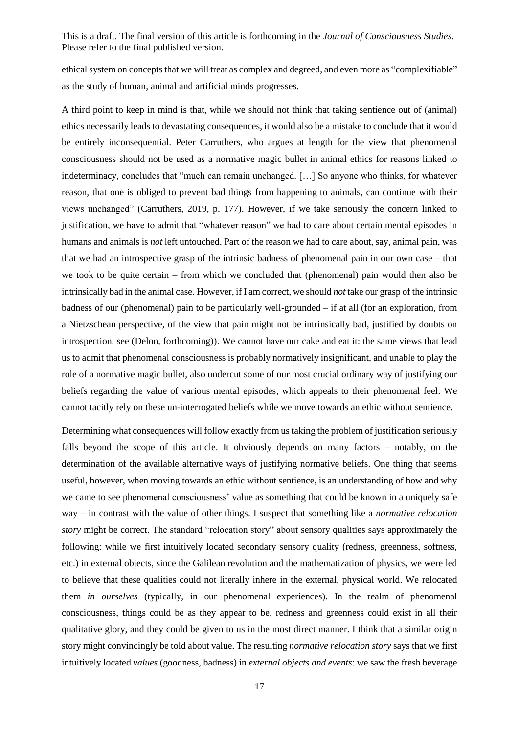ethical system on concepts that we will treat as complex and degreed, and even more as "complexifiable" as the study of human, animal and artificial minds progresses.

A third point to keep in mind is that, while we should not think that taking sentience out of (animal) ethics necessarily leads to devastating consequences, it would also be a mistake to conclude that it would be entirely inconsequential. Peter Carruthers, who argues at length for the view that phenomenal consciousness should not be used as a normative magic bullet in animal ethics for reasons linked to indeterminacy, concludes that "much can remain unchanged. […] So anyone who thinks, for whatever reason, that one is obliged to prevent bad things from happening to animals, can continue with their views unchanged" (Carruthers, 2019, p. 177). However, if we take seriously the concern linked to justification, we have to admit that "whatever reason" we had to care about certain mental episodes in humans and animals is *not* left untouched. Part of the reason we had to care about, say, animal pain, was that we had an introspective grasp of the intrinsic badness of phenomenal pain in our own case – that we took to be quite certain – from which we concluded that (phenomenal) pain would then also be intrinsically bad in the animal case. However, if I am correct, we should *not* take our grasp of the intrinsic badness of our (phenomenal) pain to be particularly well-grounded – if at all (for an exploration, from a Nietzschean perspective, of the view that pain might not be intrinsically bad, justified by doubts on introspection, see (Delon, forthcoming)). We cannot have our cake and eat it: the same views that lead us to admit that phenomenal consciousness is probably normatively insignificant, and unable to play the role of a normative magic bullet, also undercut some of our most crucial ordinary way of justifying our beliefs regarding the value of various mental episodes, which appeals to their phenomenal feel. We cannot tacitly rely on these un-interrogated beliefs while we move towards an ethic without sentience.

Determining what consequences will follow exactly from us taking the problem of justification seriously falls beyond the scope of this article. It obviously depends on many factors – notably, on the determination of the available alternative ways of justifying normative beliefs. One thing that seems useful, however, when moving towards an ethic without sentience, is an understanding of how and why we came to see phenomenal consciousness' value as something that could be known in a uniquely safe way – in contrast with the value of other things. I suspect that something like a *normative relocation story* might be correct. The standard "relocation story" about sensory qualities says approximately the following: while we first intuitively located secondary sensory quality (redness, greenness, softness, etc.) in external objects, since the Galilean revolution and the mathematization of physics, we were led to believe that these qualities could not literally inhere in the external, physical world. We relocated them *in ourselves* (typically, in our phenomenal experiences). In the realm of phenomenal consciousness, things could be as they appear to be, redness and greenness could exist in all their qualitative glory, and they could be given to us in the most direct manner. I think that a similar origin story might convincingly be told about value. The resulting *normative relocation story* says that we first intuitively located *values* (goodness, badness) in *external objects and events*: we saw the fresh beverage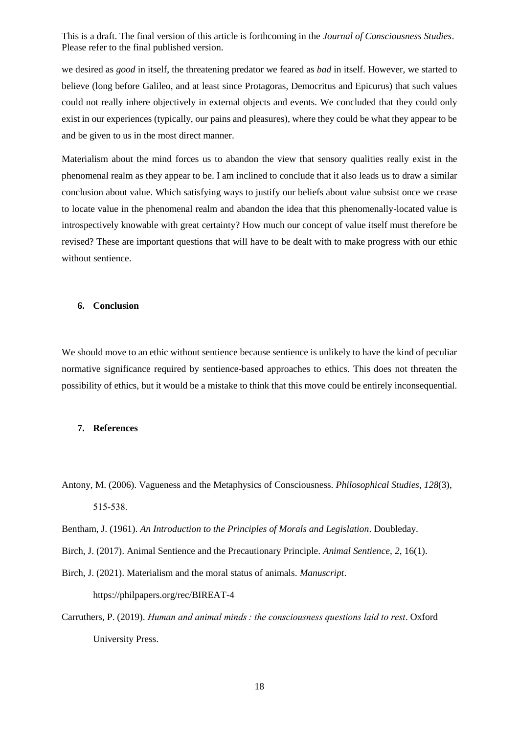we desired as *good* in itself, the threatening predator we feared as *bad* in itself. However, we started to believe (long before Galileo, and at least since Protagoras, Democritus and Epicurus) that such values could not really inhere objectively in external objects and events. We concluded that they could only exist in our experiences (typically, our pains and pleasures), where they could be what they appear to be and be given to us in the most direct manner.

Materialism about the mind forces us to abandon the view that sensory qualities really exist in the phenomenal realm as they appear to be. I am inclined to conclude that it also leads us to draw a similar conclusion about value. Which satisfying ways to justify our beliefs about value subsist once we cease to locate value in the phenomenal realm and abandon the idea that this phenomenally-located value is introspectively knowable with great certainty? How much our concept of value itself must therefore be revised? These are important questions that will have to be dealt with to make progress with our ethic without sentience.

### **6. Conclusion**

We should move to an ethic without sentience because sentience is unlikely to have the kind of peculiar normative significance required by sentience-based approaches to ethics. This does not threaten the possibility of ethics, but it would be a mistake to think that this move could be entirely inconsequential.

#### **7. References**

- Antony, M. (2006). Vagueness and the Metaphysics of Consciousness. *Philosophical Studies*, *128*(3), 515‑538.
- Bentham, J. (1961). *An Introduction to the Principles of Morals and Legislation*. Doubleday.
- Birch, J. (2017). Animal Sentience and the Precautionary Principle. *Animal Sentience*, *2*, 16(1).
- Birch, J. (2021). Materialism and the moral status of animals. *Manuscript*. https://philpapers.org/rec/BIREAT-4
- Carruthers, P. (2019). *Human and animal minds : the consciousness questions laid to rest*. Oxford University Press.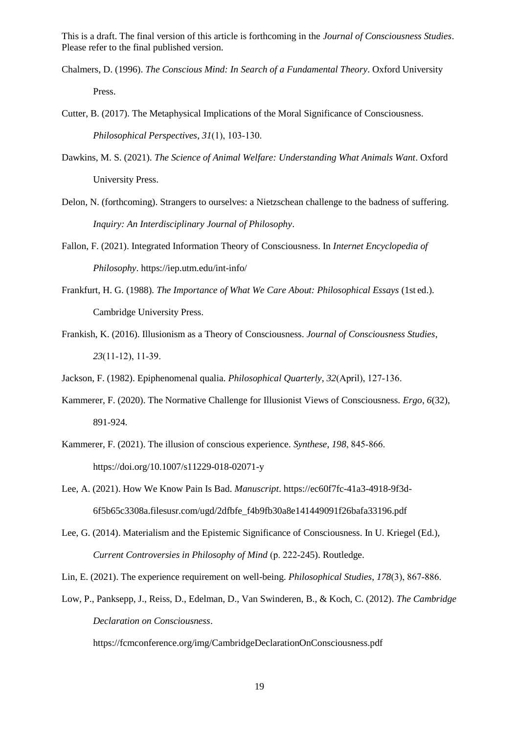- Chalmers, D. (1996). *The Conscious Mind: In Search of a Fundamental Theory*. Oxford University Press.
- Cutter, B. (2017). The Metaphysical Implications of the Moral Significance of Consciousness. *Philosophical Perspectives*, *31*(1), 103‑130.
- Dawkins, M. S. (2021). *The Science of Animal Welfare: Understanding What Animals Want*. Oxford University Press.
- Delon, N. (forthcoming). Strangers to ourselves: a Nietzschean challenge to the badness of suffering. *Inquiry: An Interdisciplinary Journal of Philosophy*.
- Fallon, F. (2021). Integrated Information Theory of Consciousness. In *Internet Encyclopedia of Philosophy*. https://iep.utm.edu/int-info/
- Frankfurt, H. G. (1988). *The Importance of What We Care About: Philosophical Essays* (1st ed.). Cambridge University Press.
- Frankish, K. (2016). Illusionism as a Theory of Consciousness. *Journal of Consciousness Studies*, *23*(11‑12), 11‑39.
- Jackson, F. (1982). Epiphenomenal qualia. *Philosophical Quarterly*, *32*(April), 127‑136.
- Kammerer, F. (2020). The Normative Challenge for Illusionist Views of Consciousness. *Ergo*, *6*(32), 891‑924.
- Kammerer, F. (2021). The illusion of conscious experience. *Synthese*, *198*, 845‑866. https://doi.org/10.1007/s11229-018-02071-y
- Lee, A. (2021). How We Know Pain Is Bad. *Manuscript*. https://ec60f7fc-41a3-4918-9f3d-6f5b65c3308a.filesusr.com/ugd/2dfbfe\_f4b9fb30a8e141449091f26bafa33196.pdf
- Lee, G. (2014). Materialism and the Epistemic Significance of Consciousness. In U. Kriegel (Ed.), *Current Controversies in Philosophy of Mind* (p. 222‑245). Routledge.

Lin, E. (2021). The experience requirement on well-being. *Philosophical Studies*, *178*(3), 867‑886.

Low, P., Panksepp, J., Reiss, D., Edelman, D., Van Swinderen, B., & Koch, C. (2012). *The Cambridge Declaration on Consciousness*.

https://fcmconference.org/img/CambridgeDeclarationOnConsciousness.pdf